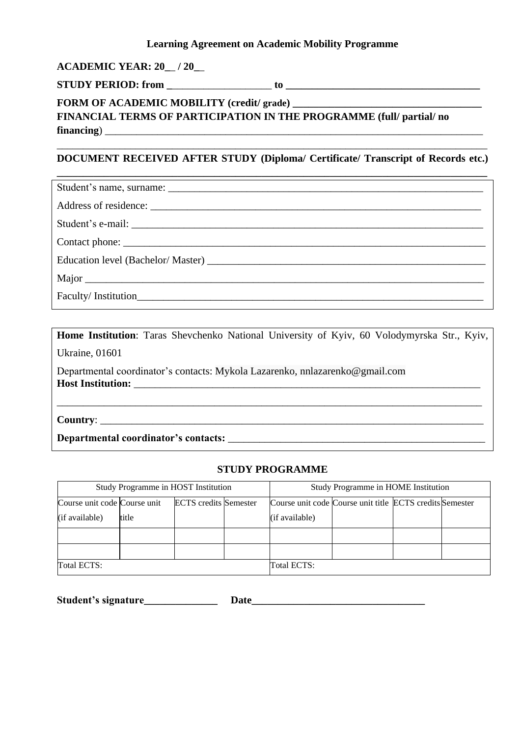#### **Learning Agreement on Academic Mobility Programme**

### **ACADEMIC YEAR: 20\_**\_ **/ 20\_**\_

**STUDY PERIOD:** from **to to** 

# **FORM OF ACADEMIC MOBILITY (credit/ grade) \_\_\_\_\_\_\_\_\_\_\_\_\_\_\_\_\_\_\_\_\_\_\_\_\_\_\_\_\_\_\_\_\_\_\_\_ FINANCIAL TERMS OF PARTICIPATION IN THE PROGRAMME (full/ partial/ no financing**)

## \_\_\_\_\_\_\_\_\_\_\_\_\_\_\_\_\_\_\_\_\_\_\_\_\_\_\_\_\_\_\_\_\_\_\_\_\_\_\_\_\_\_\_\_\_\_\_\_\_\_\_\_\_\_\_\_\_\_\_\_\_\_\_\_\_\_\_\_\_\_\_\_\_\_\_\_\_\_\_\_\_\_ **DOCUMENT RECEIVED AFTER STUDY (Diploma/ Certificate/ Transcript of Records etc.)**

| Contact phone: |  |  |  |
|----------------|--|--|--|
|                |  |  |  |
| Major          |  |  |  |
|                |  |  |  |

**Home Institution**: Taras Shevchenko National University of Kyiv, 60 Volodymyrska Str., Kyiv, Ukraine, 01601 Departmental coordinator's contacts: Mykola Lazarenko, nnlazarenko@gmail.com

\_\_\_\_\_\_\_\_\_\_\_\_\_\_\_\_\_\_\_\_\_\_\_\_\_\_\_\_\_\_\_\_\_\_\_\_\_\_\_\_\_\_\_\_\_\_\_\_\_\_\_\_\_\_\_\_\_\_\_\_\_\_\_\_\_\_\_\_\_\_\_\_\_\_\_\_\_\_\_\_\_

**Host Institution:** \_\_\_\_\_\_\_\_\_\_\_\_\_\_\_\_\_\_\_\_\_\_\_\_\_\_\_\_\_\_\_\_\_\_\_\_\_\_\_\_\_\_\_\_\_\_\_\_\_\_\_\_\_\_\_\_\_\_\_\_\_\_\_\_\_\_

**Country**: \_\_\_\_\_\_\_\_\_\_\_\_\_\_\_\_\_\_\_\_\_\_\_\_\_\_\_\_\_\_\_\_\_\_\_\_\_\_\_\_\_\_\_\_\_\_\_\_\_\_\_\_\_\_\_\_\_\_\_\_\_\_\_\_\_\_\_\_\_\_\_\_\_

**Departmental coordinator's contacts:** \_\_\_\_\_\_\_\_\_\_\_\_\_\_\_\_\_\_\_\_\_\_\_\_\_\_\_\_\_\_\_\_\_\_\_\_\_\_\_\_\_\_\_\_\_\_\_\_\_

#### **STUDY PROGRAMME**

| Study Programme in HOST Institution |       |                              | Study Programme in HOME Institution |                                                          |  |  |  |
|-------------------------------------|-------|------------------------------|-------------------------------------|----------------------------------------------------------|--|--|--|
| Course unit code Course unit        |       | <b>ECTS</b> credits Semester |                                     | Course unit code Course unit title ECTS credits Semester |  |  |  |
| (if available)                      | title |                              |                                     | (if available)                                           |  |  |  |
|                                     |       |                              |                                     |                                                          |  |  |  |
|                                     |       |                              |                                     |                                                          |  |  |  |
| Total ECTS:                         |       |                              |                                     | Total ECTS:                                              |  |  |  |

| Student's signature | Date |
|---------------------|------|
|                     |      |